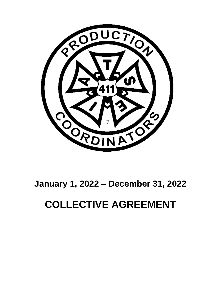

# **January 1, 2022 – December 31, 2022**

# **COLLECTIVE AGREEMENT**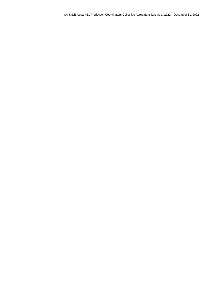I.A.T.S.E. Local 411 Production Coordinators Collective Agreement January 1, 2022 – December 31, 2022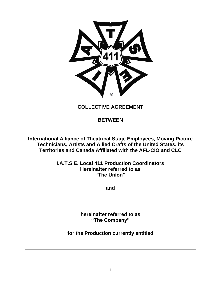

## **COLLECTIVE AGREEMENT**

## **BETWEEN**

**International Alliance of Theatrical Stage Employees, Moving Picture Technicians, Artists and Allied Crafts of the United States, its Territories and Canada Affiliated with the AFL-CIO and CLC**

> **I.A.T.S.E. Local 411 Production Coordinators Hereinafter referred to as "The Union"**

> > **and**

**hereinafter referred to as "The Company"**

**for the Production currently entitled**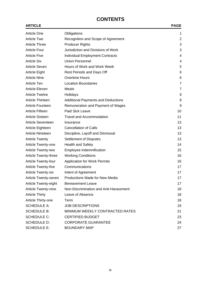# **CONTENTS**

| ARTICLE |  | <b>PAGE</b> |
|---------|--|-------------|
|         |  |             |

| Article One                | Obligations                               | 1              |
|----------------------------|-------------------------------------------|----------------|
| <b>Article Two</b>         | Recognition and Scope of Agreement        | $\overline{2}$ |
| <b>Article Three</b>       | <b>Producer Rights</b>                    | 3              |
| <b>Article Four</b>        | Jurisdiction and Divisions of Work        | 3              |
| <b>Article Five</b>        | <b>Individual Employment Contracts</b>    | 4              |
| <b>Article Six</b>         | <b>Union Personnel</b>                    | 4              |
| <b>Article Seven</b>       | Hours of Work and Work Week               | 5              |
| <b>Article Eight</b>       | Rest Periods and Days Off                 | 6              |
| <b>Article Nine</b>        | <b>Overtime Hours</b>                     | 6              |
| Article Ten                | <b>Location Boundaries</b>                | $\overline{7}$ |
| <b>Article Eleven</b>      | Meals                                     | $\overline{7}$ |
| <b>Article Twelve</b>      | Holidays                                  | 8              |
| Article Thirteen           | <b>Additional Payments and Deductions</b> | 8              |
| Article Fourteen           | Remuneration and Payment of Wages         | 9              |
| Article Fifteen            | Paid Sick Leave                           | 10             |
| <b>Article Sixteen</b>     | <b>Travel and Accommodation</b>           | 11             |
| Article Seventeen          | Insurance                                 | 13             |
| Article Eighteen           | <b>Cancellation of Calls</b>              | 13             |
| Article Nineteen           | Discipline, Layoff and Dismissal          | 13             |
| <b>Article Twenty</b>      | <b>Settlement of Disputes</b>             | 13             |
| Article Twenty-one         | <b>Health and Safety</b>                  | 14             |
| Article Twenty-two         | Employee Indemnification                  | 15             |
| Article Twenty-three       | <b>Working Conditions</b>                 | 16             |
| Article Twenty-four        | <b>Application for Work Permits</b>       | 16             |
| <b>Article Twenty-five</b> | Communications                            | 17             |
| <b>Article Twenty-six</b>  | Intent of Agreement                       | 17             |
| Article Twenty-seven       | <b>Productions Made for New Media</b>     | 17             |
| Article Twenty-eight       | <b>Bereavement Leave</b>                  | 17             |
| Article Twenty-nine        | Non-Discrimination and Anti-Harassment    | 18             |
| <b>Article Thirty</b>      | Leave of Absence                          | 18             |
| Article Thirty-one         | Term                                      | 18             |
| <b>SCHEDULE A:</b>         | <b>JOB DESCRIPTIONS</b>                   | 19             |
| <b>SCHEDULE B:</b>         | MINIMUM WEEKLY CONTRACTED RATES           | 21             |
| <b>SCHEDULE C:</b>         | <b>CERTIFIED BUDGET</b>                   | 23             |
| <b>SCHEDULE D:</b>         | <b>CORPORATE GUARANTEE</b>                | 24             |
| <b>SCHEDULE E:</b>         | <b>BOUNDARY MAP</b>                       | 27             |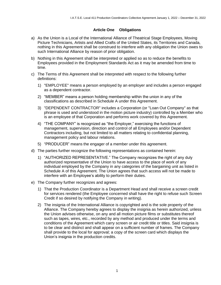## **Article One Obligations**

- a) As the Union is a Local of the International Alliance of Theatrical Stage Employees, Moving Picture Technicians, Artists and Allied Crafts of the United States, its Territories and Canada, nothing in this Agreement shall be construed to interfere with any obligation the Union owes to such International Alliance by reason of prior obligation.
- b) Nothing in this Agreement shall be interpreted or applied so as to reduce the benefits to Employees provided in the Employment Standards Act as it may be amended from time to time.
- c) The Terms of this Agreement shall be interpreted with respect to the following further definitions:
	- 1) "EMPLOYEE" means a person employed by an employer and includes a person engaged as a dependent contractor.
	- 2) "MEMBER" means a person holding membership within the union in any of the classifications as described in Schedule A under this Agreement.
	- 3) "DEPENDENT CONTRACTOR" includes a Corporation (or "Loan Out Company" as that phrase is used and understood in the motion picture industry) controlled by a Member who is an employee of that Corporation and performs work covered by this Agreement.
	- 4) "THE COMPANY" is recognized as "the Employer," exercising the functions of management, supervision, direction and control of all Employees and/or Dependent Contractors including, but not limited to all matters relating to confidential planning, management policy and labour relations.
	- 5) "PRODUCER" means the engager of a member under this agreement.
- d) The parties further recognize the following representations as contained herein:
	- 1) "AUTHORIZED REPRESENTATIVE." The Company recognizes the right of any duly authorized representative of the Union to have access to the place of work of any individual employed by the Company in any categories of the bargaining unit as listed in Schedule A of this Agreement. The Union agrees that such access will not be made to interfere with an Employee's ability to perform their duties.
- e) The Company further recognizes and agrees:
	- 1) That the Production Coordinator is a Department Head and shall receive a screen credit for services rendered (the Employee concerned shall have the right to refuse such Screen Credit if so desired by notifying the Company in writing).
	- 2) The insignia of the International Alliance is copyrighted and is the sole property of the Alliance. The Company hereby agrees to display the insignia as herein authorized, unless the Union advises otherwise, on any and all motion picture films or substitutes thereof such as tapes, wires, etc., recorded by any method and produced under the terms and conditions of the Agreement which carry screen or air credit title or titles. Said insignia is to be clear and distinct and shall appear on a sufficient number of frames. The Company shall provide to the local for approval; a copy of the screen card which displays the Union's insignia in the production credits.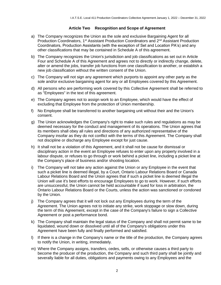## **Article Two Recognition and Scope of Agreement**

- a) The Company recognizes the Union as the sole and exclusive Bargaining Agent for all Production Coordinators, 1<sup>st</sup> Assistant Production Coordinators and 2<sup>nd</sup> Assistant Production Coordinators, Production Assistants (with the exception of Set and Location PA's) and any other classifications that may be contained in Schedule A of this agreement.
- b) The Company recognizes the Union's jurisdiction and job classifications as set out in [Article](#page-6-0) [Four a](#page-6-0)nd Schedule A of this Agreement and agrees not to directly or indirectly change, delete, alter or amend the jobs, transfer job functions from one classification to another, or establish a new job classification without the written consent of the Union.
- c) The Company will not sign any agreement which purports to appoint any other party as the sole and/or exclusive bargaining agent for any or all Employees covered by this Agreement.
- d) All persons who are performing work covered by this Collective Agreement shall be referred to as "Employees" in the text of this agreement.
- e) The Company agrees not to assign work to an Employee, which would have the effect of excluding that Employee from the protection of Union membership.
- f) No Employee shall be transferred to another bargaining unit without their and the Union's consent.
- g) The Union acknowledges the Company's right to make such rules and regulations as may be deemed necessary for the conduct and management of its operations. The Union agrees that its members shall obey all rules and directions of any authorized representative of the Company insofar as they do not conflict with the terms of this Agreement. The Company shall not discipline or discharge any Employee except for just cause.
- h) It shall not be a violation of this Agreement, and it shall not be cause for dismissal or disciplinary action in the event an Employee refuses to enter upon any property involved in a labour dispute, or refuses to go through or work behind a picket line, including a picket line at the Company's place of business and/or shooting location.
- i) The Company will not take any action against the Union or any Employee in the event that such a picket line is deemed illegal, by a Court, Ontario Labour Relations Board or Canada Labour Relations Board and the Union agrees that if such a picket line is deemed illegal the Union will use it's best efforts to encourage Employees to go to work. However, if such efforts are unsuccessful, the Union cannot be held accountable if sued for loss in arbitration, the Ontario Labour Relations Board or the Courts, unless the action was sanctioned or condoned by the Union.
- j) The Company agrees that it will not lock out any Employees during the term of the Agreement. The Union agrees not to initiate any strike, work stoppage or slow down, during the term of this Agreement, except in the case of the Company's failure to sign a Collective Agreement or post a performance bond.
- k) The Company shall maintain the legal status of the Company and shall not permit same to be liquidated, wound down or dissolved until all of the Company's obligations under this Agreement have been fully and finally performed and satisfied.
- l) If there is a change in the Company's name or the title of the production, the Company agrees to notify the Union, in writing, immediately.
- m) Where the Company assigns, transfers, cedes, sells, or otherwise causes a third party to become the producer of the production, the Company and such third party shall be jointly and severally liable for all duties, obligations and payments owing to any Employees and the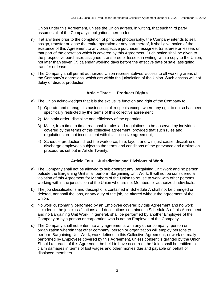Union under this Agreement, unless the Union agrees, in writing, that such third party assumes all of the Company's obligations hereunder.

- n) If at any time prior to the completion of principal photography, the Company intends to sell, assign, transfer or lease the entire operation or any part thereof, it shall give notice of the existence of this Agreement to any prospective purchaser, assignee, transferee or lessee, or that part of the operation which is covered by this Agreement. Such notice shall be given to the prospective purchaser, assignee, transferee or lessee, in writing, with a copy to the Union, not later than seven (7) calendar working days before the effective date of sale, assigning, transfer or lease.
- o) The Company shall permit authorized Union representatives' access to all working areas of the Company's operations, which are within the jurisdiction of the Union. Such access will not delay or disrupt production.

## **Article Three Producer Rights**

- a) The Union acknowledges that it is the exclusive function and right of the Company to:
	- 1) Operate and manage its business in all respects except where any right to do so has been specifically restricted by the terms of this collective agreement;
	- 2) Maintain order, discipline and efficiency of the operation;
	- 3) Make, from time to time, reasonable rules and regulations to be observed by individuals covered by the terms of this collective agreement, provided that such rules and regulations are not inconsistent with this collective agreement;
	- 4) Schedule production, direct the workforce, hire, layoff, and with just cause, discipline or discharge employees subject to the terms and conditions of the grievance and arbitration procedures set out in Article [Twenty.](#page-16-0)

## **Article Four Jurisdiction and Divisions of Work**

- <span id="page-6-0"></span>a) The Company shall not be allowed to sub-contract any Bargaining Unit Work and no person outside the Bargaining Unit shall perform Bargaining Unit Work. It will not be considered a violation of this Agreement for Members of the Union to refuse to work with other persons working within the jurisdiction of the Union who are not Members or authorized individuals.
- b) The job classifications and descriptions contained in Schedule A shall not be changed or deleted, nor shall the jobs, or any duty of the job, be altered without the agreement of the Union.
- c) No work customarily performed by an Employee covered by this Agreement and no work included in the job classifications and descriptions contained in Schedule A of this Agreement and no Bargaining Unit Work, in general, shall be performed by another Employee of the Company or by a person or corporation who is not an Employee of the Company.
- d) The Company shall not enter into any agreements with any other company, person or organization wherein that other company, person or organization will employ persons to perform Bargaining Unit Work, work defined in this Collective Agreement, or work normally performed by Employees covered by this Agreement, unless consent is granted by the Union. Should a breach of this Agreement be held to have occurred, the Union shall be entitled to claim damages in terms of lost wages and other monies due and payable on behalf of displaced members.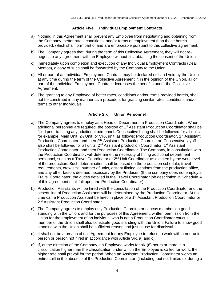## **Article Five Individual Employment Contracts**

- a) Nothing in this Agreement shall prevent any Employee from negotiating and obtaining from the Company, better rates, conditions, and/or terms of employment than those herein provided, which shall form part of and are enforceable pursuant to this collective agreement.
- b) The Company agrees that, during the term of this Collective Agreement, they will not renegotiate any agreement with an Employee without first obtaining the consent of the Union.
- c) Immediately upon completion and execution of any Individual Employment Contracts (Deal Memos), a copy of such shall be forwarded by the Company to the Union.
- d) All or part of an Individual Employment Contract may be declared null and void by the Union at any time during the term of the Collective Agreement if, in the opinion of the Union, all or part of the Individual Employment Contract decreases the benefits under the Collective Agreement.
- e) The granting to any Employee of better rates, conditions and/or terms provided herein, shall not be construed in any manner as a precedent for granting similar rates, conditions and/or terms to other individuals.

## **Article Six Union Personnel**

- <span id="page-7-1"></span><span id="page-7-0"></span>a) The Company agrees to employ as a Head of Department, a Production Coordinator. When additional personnel are required, the position of 1<sup>st</sup> Assistant Production Coordinator shall be filled prior to hiring any additional personnel. Consecutive hiring shall be followed for all units, for example, Main Unit, 2<sub>nd</sub> Unit, or VFX unit, as follows: Production Coordinator, 1<sup>st</sup> Assistant Production Coordinator, and then 2<sup>nd</sup> Assistant Production Coordinator. Consecutive layoff also shall be followed for all units:  $2^{nd}$  Assistant production Coordinator,  $1^{st}$  Assistant Production Coordinator, and then Production Coordinator. The Company, in consultation with the Production Coordinator, will determine the necessity of hiring additional department personnel, such as a Travel Coordinator or 2<sup>nd</sup> Unit Coordinator as dictated by the work level of the production. Such determination shall be based on the production schedule, travel requirements, crew size, number of units, distant filming locations from the production office, and any other factors deemed necessary by the Producer. (If the company does not employ a Travel Coordinator, the duties detailed in the Travel Coordinator job description in Schedule A of this agreement shall fall upon the Production Coordinator).
- b) Production Assistants will be hired with the consultation of the Production Coordinator and the scheduling of Production Assistants will be determined by the Production Coordinator. At no time can a Production Assistant be hired in place of a 1<sup>st</sup> Assistant Production Coordinator or 2<sup>nd</sup> Assistant Production Coordinator.
- <span id="page-7-2"></span>c) The Company agrees to employ only Production Coordinator caucus members in good standing with the Union, and for the purposes of this Agreement, written permission from the Union for the employment of an individual who is not a Production Coordinator caucus member of the Union shall also constitute good standing with the Union. Failure to show good standing with the Union shall be sufficient reason and just cause for dismissal.
- d) It shall not be a breach of this Agreement for any Employee to refuse to work with a non-union person or person not hired in accordance with [Article Six,](#page-7-0) [a\)](#page-7-1) and [c\).](#page-7-2)
- e) If, at the direction of the Company, an Employee works for six (6) hours or more in a classification higher than the classification under which the Employee is called for work, the higher rate shall prevail for the period. When an Assistant Production Coordinator works an entire shift in the absence of the Production Coordinator, (including, but not limited to; during a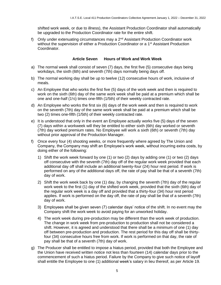shifted work week, or due to illness), the Assistant Production Coordinator shall automatically be upgraded to the Production Coordinator rate for the entire shift.

<span id="page-8-0"></span>f) Only under extenuating circumstances may a 2<sup>nd</sup> Assistant Production Coordinator work without the supervision of either a Production Coordinator or a 1<sup>st</sup> Assistant Production Coordinator.

## **Article Seven Hours of Work and Work Week**

- a) The normal week shall consist of seven (7) days, the first five (5) consecutive days being workdays, the sixth (6th) and seventh (7th) days normally being days off.
- b) The normal working day shall be up to twelve (12) consecutive hours of work, inclusive of meals.
- c) An Employee that who works the first five (5) days of the work week and then is required to work on the sixth (6th) day of the same work week shall be paid at a premium which shall be one and one-half (1½) times one-fifth (1/5th) of their weekly contracted rate.
- d) An Employee who works the first six (6) days of the work week and then is required to work on the seventh (7th) day of the same work week shall be paid at a premium which shall be two (2) times one-fifth (1/5th) of their weekly contracted rate.
- e) It is understood that only in the event an Employee actually works five (5) days of the seven (7) days within a workweek will they be entitled to either sixth (6th) day worked or seventh (7th) day worked premium rates. No Employee will work a sixth (6th) or seventh (7th) day without prior approval of the Production Manager.
- f) Once every four (4) shooting weeks, or more frequently where agreed by The Union and Company, the Company may shift an Employee's work week, without incurring extra costs, by doing either of the following:
	- 1) Shift the work week forward by one (1) or two (2) days by adding one (1) or two (2) days off consecutive with the seventh (7th) day off of the regular work week provided that each additional day off shall include an additional twenty-four (24) hour rest period. If work is performed on any of the additional days off, the rate of pay shall be that of a seventh (7th) day of work.
	- 2) Shift the work week back by one (1) day, by changing the seventh (7th) day of the regular work week to the first (1) day of the shifted work week, provided that the sixth (6th) day of the regular work week is a day off and provided that a thirty-four (34) hour rest period applies. If work is performed on the day off, the rate of pay shall be that of a seventh (7th) day of work.
	- 3) Employees shall be given seven (7) calendar days' notice of the shift. In no event may the Company shift the work week to avoid paying for an unworked holiday.
	- 4) The work week during pre-production may be different than the work week of production. The change in work week from pre-production to production shall not be considered a shift. However, it is agreed and understood that there shall be a minimum of one (1) day off between pre-production and production. The rest period for this day off shall be thirtyfour (34) consecutive hours free from work. If work is performed on that day, the rate of pay shall be that of a seventh (7th) day of work.
- g) The Producer shall be entitled to impose a hiatus period, provided that both the Employee and the Union have received written notice not less than fourteen (14) calendar days prior to the commencement of such a hiatus period. Failure by the Company to give such notice of layoff shall entitle the Employee to one (1) additional week's salary in lieu thereof, as per Article 19.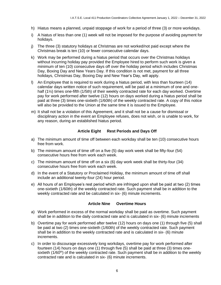- h) Hiatus means a planned, unpaid stoppage of work for a period of three (3) or more workdays.
- i) A hiatus of less than one (1) week will not be imposed for the purpose of avoiding payment for holidays.
- j) The three (3) statutory holidays at Christmas are not worked/not paid except where the Christmas break is ten (10) or fewer consecutive calendar days.
- k) Work may be performed during a hiatus period that occurs over the Christmas holidays without incurring holiday pay provided the Employee hired to perform such work is given a minimum of ten (10) consecutive days off over the holiday period which includes Christmas Day, Boxing Day and New Years Day. If this condition is not met, payment for all three holidays, Christmas Day, Boxing Day and New Year's Day, will apply.
- l) An Employee that is required to work during a hiatus period, with less than fourteen (14) calendar days written notice of such requirement, will be paid at a minimum of one and onehalf (1½) times one-fifth (1/5th) of their weekly contracted rate for each day worked. Overtime pay for work performed after twelve (12) hours on days worked during a hiatus period shall be paid at three (3) times one-sixtieth (1/60th) of the weekly contracted rate. A copy of this notice will also be provided to the Union at the same time it is issued to the Employee.
- <span id="page-9-0"></span>m) It shall not be a violation of this Agreement, and it shall not be a cause for dismissal or disciplinary action in the event an Employee refuses, does not wish, or is unable to work, for any reason, during an established hiatus period.

## **Article Eight Rest Periods and Days Off**

- a) The minimum amount of time off between each workday shall be ten (10) consecutive hours free from work.
- b) The minimum amount of time off on a five (5) day work week shall be fifty-four (54) consecutive hours free from work each week.
- c) The minimum amount of time off on a six (6) day work week shall be thirty-four (34) consecutive hours free from work each week.
- d) In the event of a Statutory or Proclaimed Holiday, the minimum amount of time off shall include an additional twenty-four (24) hour period.
- e) All hours of an Employee's rest period which are infringed upon shall be paid at two (2) times one-sixtieth (1/60th) of the weekly contracted rate. Such payment shall be in addition to the weekly contracted rate and be calculated in six- (6) minute increments.

## **Article Nine Overtime Hours**

- <span id="page-9-1"></span>a) Work performed in excess of the normal workday shall be paid as overtime. Such payment shall be in addition to the daily contracted rate and is calculated in six- (6) minute increments
- b) Overtime pay for work performed after twelve (12) hours on days one (1) through five (5) shall be paid at two (2) times one-sixtieth (1/60th) of the weekly contracted rate. Such payment shall be in addition to the weekly contracted rate and is calculated in six- (6) minute increments.
- c) In order to discourage excessively long workdays, overtime pay for work performed after fourteen (14) hours on days one (1) through five (5) shall be paid at three (3) times onesixtieth (1/60<sup>th</sup>) of the weekly contracted rate. Such payment shall be in addition to the weekly contracted rate and is calculated in six- (6) minute increments.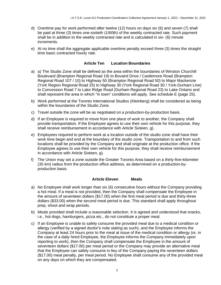- d) Overtime pay for work performed after twelve (12) hours on days six (6) and seven (7) shall be paid at three (3) times one-sixtieth (1/60th) of the weekly contracted rate. Such payment shall be in addition to the weekly contracted rate and is calculated in six- (6) minute increments.
- e) At no time shall the aggregate applicable overtime penalty exceed three (3) times the straight time basic contracted hourly rate.

## **Article Ten Location Boundaries**

- a) a) The Studio Zone shall be defined as the area within the boundaries of Winston Churchill Boulevard (Brampton Regional Road 19) to Bovaird Drive / Castlemore Road (Brampton Regional Road 107 / 10) to Highway 50 (Brampton Regional Road 50) to Major Mackenzie (York Region Regional Road 25) to Highway 30 (York Regional Road 30 / York-Durham Line) to Concession Road 7 to Lake Ridge Road (Durham Regional Road 23) to Lake Ontario and shall represent the area in which "in town" conditions will apply. See schedule E (page 25).
- b) Work performed at the Toronto International Studios (Kleinberg) shall be considered as being within the boundaries of the Studio Zone.
- c) Travel outside the zone will be as negotiated on a production-by-production basis.
- d) If an Employee is required to move from one place of work to another, the Company shall provide transportation. If the Employee agrees to use their own vehicle for this purpose, they shall receive reimbursement in accordance with Article [Sixteen,](#page-13-0) [g\).](#page-15-0)
- e) Employees required to perform work at a location outside of the studio zone shall have their work time begin and end at the boundary of the studio zone. Transportation to and from such locations shall be provided by the Company and shall originate at the production office. If the Employee agrees to use their own vehicle for this purpose, they shall receive reimbursement in accordance with [Article Sixteen,](#page-13-0) [g\).](#page-15-0)
- f) The Union may set a zone outside the Greater Toronto Area based on a thirty-five-kilometer (35 km) radius from the production office address, as determined on a production-byproduction basis.

## **Article Eleven Meals**

- a) No Employee shall work longer than six (6) consecutive hours without the Company providing a hot meal. If a meal is not provided, then the Company shall compensate the Employee in the amount of seventeen dollars (\$17.00) when the first meal period is due and thirty-three dollars (\$33.00) when the second meal period is due. This standard shall apply throughout prep, shoot and wrap periods.
- b) Meals provided shall include a reasonable selection. It is agreed and understood that snacks, i.e., hot dogs, hamburgers, pizza etc., do not constitute a proper meal.
- c) If an Employee is unable to safely consume the provided meal due to a medical condition or allergy (verified by a signed doctor's note stating as such), and the Employee informs the Company at least 24 hours prior to the meal at issue of the medical condition or allergy (or, in the case of a daily hired Employee, the Employee informs the Company immediately upon reporting to work), then the Company shall compensate the Employee in the amount of seventeen dollars (\$17.00) per meal period or the Company may provide an alternative meal that the Employee can safely consume in lieu of the Company paying the seventeen dollars (\$17.00) meal penalty, per meal period. No Employee shall consume any of the provided meal on any days on which they are compensated.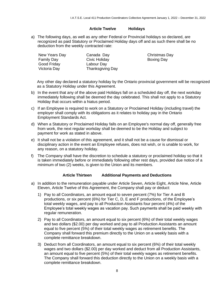## **Article Twelve Holidays**

<span id="page-11-0"></span>a) The following days, as well as any other Federal or Provincial holidays so declared, are recognized as paid Statutory or Proclaimed Holiday days off and as such there shall be no deduction from the weekly contracted rate:

| Canada Day              |
|-------------------------|
| Civic Holiday           |
| Labour Day              |
| <b>Thanksgiving Day</b> |
|                         |

Christmas Day Boxing Day

Any other day declared a statutory holiday by the Ontario provincial government will be recognized as a Statutory Holiday under this Agreement.

- b) In the event that any of the above paid Holidays fall on a scheduled day off, the next workday immediately following shall be deemed the day celebrated. This shall not apply to a Statutory Holiday that occurs within a hiatus period.
- c) If an Employee is required to work on a Statutory or Proclaimed Holiday (including travel) the employer shall comply with its obligations as it relates to holiday pay in the Ontario Employment Standards Act.
- d) When a Statutory or Proclaimed Holiday falls on an Employee's normal day off, generally free from work, the next regular workday shall be deemed to be the Holiday and subject to payment for work as stated in above.
- e) It shall not be a violation of this agreement, and it shall not be a cause for dismissal or disciplinary action in the event an Employee refuses, does not wish, or is unable to work, for any reason, on a statutory holiday.
- f) The Company shall have the discretion to schedule a statutory or proclaimed holiday so that it is taken immediately before or immediately following other rest days, provided due notice of a minimum of two (2) weeks, is given to the Union and its members.

## **Article Thirteen Additional Payments and Deductions**

- <span id="page-11-1"></span>a) In addition to the remuneration payable under [Article Seven,](#page-8-0) [Article Eight,](#page-9-0) [Article Nine,](#page-9-1) Article Eleven, Article [Twelve o](#page-11-0)f this Agreement, the Company shall pay or deduct:
	- 1) Pay to all Coordinators, an amount equal to seven percent (7%) for Tier A and B productions, or six percent (6%) for Tier C, D, E and F productions, of the Employee's total weekly wages, and pay to all Production Assistants four percent (4%) of the Employee's total weekly wages as vacation pay. Such payments shall be paid weekly with regular remuneration.
	- 2) Pay to all Coordinators, an amount equal to six percent (6%) of their total weekly wages and two dollars (\$2.00) per day worked and pay to all Production Assistants an amount equal to five percent (5%) of their total weekly wages as retirement benefits. The Company shall forward this premium directly to the Union on a weekly basis with a complete remittance breakdown.
	- 3) Deduct from all Coordinators, an amount equal to six percent (6%) of their total weekly wages and two dollars (\$2.00) per day worked and deduct from all Production Assistants, an amount equal to five percent (5%) of their total weekly wages as retirement benefits. The Company shall forward this deduction directly to the Union on a weekly basis with a complete remittance breakdown.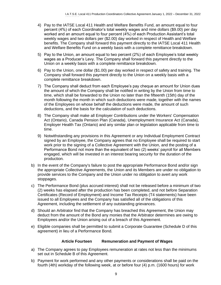4) Pay to the IATSE Local 411 Health and Welfare Benefits Fund, an amount equal to four percent (4%) of each Coordinator's total weekly wages and nine dollars (\$9.00) per day worked and an amount equal to four percent (4%) of each Production Assistant's total weekly wages and two dollars per (\$2.00) day worked in respect of Health and Welfare benefits. The Company shall forward this payment directly to the IATSE Local 411 Health and Welfare Benefits Fund on a weekly basis with a complete remittance breakdown.

2220222021

- 5) Pay to the Union, an amount equal to two percent (2%) of each Employee's total weekly wages as a Producer's Levy. The Company shall forward this payment directly to the Union on a weekly basis with a complete remittance breakdown.
- 6) Pay to the Union, one dollar (\$1.00) per day worked in respect of safety and training. The Company shall forward this payment directly to the Union on a weekly basis with a complete remittance breakdown.
- 7) The Company shall deduct from each Employee's pay cheque an amount for Union dues the amount of which the Company shall be notified in writing by the Union from time to time, which shall be forwarded to the Union no later than the fifteenth (15th) day of the month following the month in which such deductions were made, together with the names of the Employees on whose behalf the deductions were made, the amount of such deductions, and the basis for the calculation of such deductions.
- 8) The Company shall make all Employer Contributions under the Workers' Compensation Act (Ontario), Canada Pension Plan (Canada), Unemployment Insurance Act (Canada), Employer Health Tax (Ontario) and any similar plan or legislation applicable from time to time.
- <span id="page-12-0"></span>9) Notwithstanding any provisions in this Agreement or any Individual Employment Contract signed by an Employee, the Company agrees that no Employee shall be required to start work prior to the signing of a Collective Agreement with the Union, and the posting of a Performance Bond not more than the equivalent of two (2) weeks' payroll for all Members engaged, which will be invested in an interest bearing security for the duration of the production.
- b) In the event of the Company's failure to post the appropriate Performance Bond and/or sign the appropriate Collective Agreements, the Union and its Members are under no obligation to provide services to the Company and the Union under no obligation to avert any work stoppages.
- c) The Performance Bond (plus accrued interest) shall not be released before a minimum of two (2) weeks has elapsed after the production has been completed, and not before Separation Certificates (Record of Employment) and Income Tax Receipts (T4 statements) have been issued to all Employees and the Company has satisfied all of the obligations of this Agreement, including the settlement of any outstanding grievances.
- d) Should an Arbitrator find that the Company has breached this Agreement, the Union may deduct from the amount of the Bond any monies that the Arbitrator determines are owing to Employees and/or the Union arising out of a breach of this Agreement.
- e) Eligible companies shall be permitted to submit a Corporate Guarantee (Schedule D of this agreement) in lieu of a Performance Bond.

## **Article Fourteen Remuneration and Payment of Wages**

- a) The Company agrees to pay Employees remuneration at rates not less than the minimums set out in Schedule B of this Agreement.
- b) Payment for work performed and any other payments or considerations shall be paid on the fourth (4th) workday of the following week, at or before four (4) p.m. (1600 hours) for work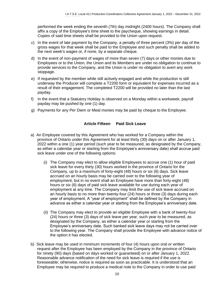performed the week ending the seventh (7th) day midnight (2400 hours). The Company shall affix a copy of the Employee's time sheet to the paycheque, showing earnings in detail. Copies of said time sheets shall be provided to the Union upon request.

c) In the event of late payment by the Company, a penalty of three percent (3%) per day of the gross wages for that week shall be paid to the Employee and such penalty shall be added to the next week's wages or, if none, by a separate cheque.

2220222021

- d) In the event of non-payment of wages of more than seven (7) days or other monies due to Employees or to the Union, the Union and its Members are under no obligation to continue to provide services to the Company, and the Union is under no obligation to avert any work stoppage.
- e) If requested by the member while still actively engaged and while the production is still underway the Producer will complete a T2200 form or equivalent for expenses incurred as a result of their engagement. The completed T2200 will be provided no later than the last payday.
- f) In the event that a Statutory Holiday is observed on a Monday within a workweek, payroll payday may be pushed by one (1) day.
- <span id="page-13-0"></span>g) Payments for any Per Diem or Meal monies may be paid by cheque to the Employee.

## **Article Fifteen Paid Sick Leave**

- a) An Employee covered by this Agreement who has worked for a Company within the province of Ontario under this Agreement for at least thirty (30) days on or after January 1, 2022 within a one (1) year period (such year to be measured, as designated by the Company, as either a calendar year or starting from the Employee's anniversary date) shall accrue paid sick leave under one of the following options:
	- (i) The Company may elect to allow eligible Employees to accrue one (1) hour of paid sick leave for every thirty (30) hours worked in the province of Ontario for the Company, up to a maximum of forty-eight (48) hours or six (6) days. Sick leave accrued on an hourly basis may be carried over to the following year of employment, but in no event shall an Employee have more than forty-eight (48) hours or six (6) days of paid sick leave available for use during each year of employment at any time. The Company may limit the use of sick leave accrued on an hourly basis to no more than twenty-four (24) hours or three (3) days during each year of employment. A "year of employment" shall be defined by the Company in advance as either a calendar year or starting from the Employee's anniversary date.
	- (ii) The Company may elect to provide an eligible Employee with a bank of twenty-four (24) hours or three (3) days of sick leave per year, such year to be measured, as designated by the Company, as either a calendar year or starting from the Employee's anniversary date. Such banked sick leave days may not be carried over to the following year. The Company shall provide the Employee with advance notice of the option it has elected.
- b) Sick leave may be used in minimum increments of four (4) hours upon oral or written request after the Employee has been employed by the Company in the province of Ontario for ninety (90) days (based on days worked or guaranteed) on or after January 1, 2022. Reasonable advance notification of the need for sick leave is required if the use is foreseeable; otherwise, notice is required as soon as practicable. It is understood that an Employee may be required to produce a medical note to the Company in order to use paid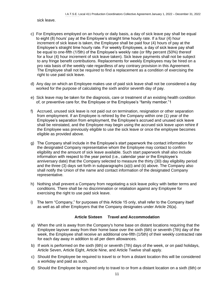sick leave.

- c) For Employees employed on an hourly or daily basis, a day of sick leave pay shall be equal to eight (8) hours' pay at the Employee's straight time hourly rate. If a four (4) hour increment of sick leave is taken, the Employee shall be paid four (4) hours of pay at the Employee's straight time hourly rate. For weekly Employees, a day of sick leave pay shall be equal to one-fifth (1/5th) of the Employee's weekly rate (or fifty percent (50%) thereof for a four (4) hour increment of sick leave taken). Sick leave payments shall not be subject to any fringe benefit contributions. Replacements for weekly Employees may be hired on a pro rata basis of the weekly rate regardless of any contrary provision in this Agreement. The Employee shall not be required to find a replacement as a condition of exercising the right to use paid sick leave.
- d) Any day on which an Employee makes use of paid sick leave shall not be considered a day worked for the purpose of calculating the sixth and/or seventh day of pay.
- e) Sick leave may be taken for the diagnosis, care or treatment of an existing health condition of, or preventive care for, the Employee or the Employee's "family member."1
- f) Accrued, unused sick leave is not paid out on termination, resignation or other separation from employment. If an Employee is rehired by the Company within one (1) year of the Employee's separation from employment, the Employee's accrued and unused sick leave shall be reinstated, and the Employee may begin using the accrued sick leave upon rehire if the Employee was previously eligible to use the sick leave or once the employee becomes eligible as provided above.
- g) The Company shall include in the Employee's start paperwork the contact information for the designated Company representative whom the Employee may contact to confirm eligibility and the amount of sick leave available. Such start paperwork shall also include information with respect to the year period (i.e., calendar year or the Employee's anniversary date) that the Company selected to measure the thirty (30) day eligibility period and the three (3) days set forth in subparagraphs (a)(i) and (ii) above. The Company also shall notify the Union of the name and contact information of the designated Company representative.
- h) Nothing shall prevent a Company from negotiating a sick leave policy with better terms and conditions. There shall be no discrimination or retaliation against any Employee for exercising the right to use paid sick leave.
- i) The term "Company," for purposes of this Article 15 only, shall refer to the Company itself as well as all other Employers that the Company designates under Article 26(a).

## **Article Sixteen Travel and Accommodation**

- a) When the unit is away from the Company's home base on distant locations requiring that the Employee layover away from their home base over the sixth (6th) or seventh (7th) day of the week, the Employee shall receive an additional one-fifth (1/5th) of their weekly contracted rate for each day away in addition to all per diem allowances.
- b) If work is performed on the sixth (6th) or seventh (7th) days of the week, or on paid holidays, Article [Seven,](#page-8-0) [Article](#page-9-0) Eight, [Article](#page-9-1) Nine, and [Article Twelve s](#page-11-0)hall apply.
- c) Should the Employee be required to travel to or from a distant location this will be considered a workday and paid as such.
- d) Should the Employee be required only to travel to or from a distant location on a sixth (6th) or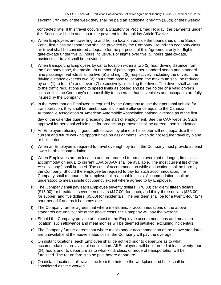seventh (7th) day of the week they shall be paid an additional one-fifth (1/5th) of their weekly

contracted rate. If this travel occurs on a Statutory or Proclaimed Holiday, the payments under this Section will be in addition to the payment for the holiday Article [Twelve.](#page-11-0)

- e) When Employees are travelling to and from a location outside the boundaries of the Studio Zone, first-class transportation shall be provided by the Company. Round-trip economy class air travel shall be considered adequate for the purposes of this Agreement only for flights gate-to-gate under five (5) hours inclusive. For flights over five (5) hours gate-to-gate, business air travel shall be provided.
- f) When transporting Employees by car to location within a two (2) hour driving distance from the Company base, the maximum number of passengers per standard sedan and standard nine passenger vehicle shall be five (5) and eight (8) respectively, including the driver. If the driving distance exceeds two (2) hours from base to location, the maximum shall be reduced by one (1) to four (4) and seven (7) respectively, including the driver. The driver shall adhere to the traffic regulations and to speed limits as posted and be the holder of a valid driver's license. It is the Company's responsibility to ascertain that all vehicles and occupants are fully insured by the Company.
- <span id="page-15-0"></span>g) In the event that an Employee is required by the Company to use their personal vehicle for transportation, they shall be reimbursed a kilometre allowance equal to the Canadian Automobile Association or American Automobile Association national average as of the first

day of the calendar quarter preceding the start of employment. See the CAA website. Such approval for personal vehicle use for production purposes shall be agreed upon in advance.

- h) An Employee refusing in good faith to travel by plane or helicopter will not jeopardize their current and future working opportunities on assignments, which do not require travel by plane or helicopter.
- i) When an Employee is required to travel overnight by train, the Company must provide at least lower berth accommodation.
- j) When Employees are on location and are required to remain overnight or longer, first class accommodation equal to current CAA or AAA shall be available. The most current list of the Association(s) shall be used. The cost of accommodation while on location shall be born by the Company. Should the employee be required to pay for such accommodation, the Company shall reimburse the employee all reasonable costs. Accommodation shall be understood to mean single occupancy except where agreed to by Employee.
- k) The Company shall pay each Employee seventy dollars (\$70.00) per diem; fifteen dollars (\$15.00) for breakfast, seventeen dollars (\$17.00) for lunch, and thirty-three dollars (\$33.00) for supper, and five dollars (\$5.00) for incidentals. The per diem shall be for a twenty-four (24) hour period if and as it becomes due.
- l) The Company further agrees that where meals and/or accommodations of the above standards are unavailable at the above costs, the Company will pay the overage.
- m) Should the Company provide at no cost to the Employee accommodations and meals on location, such allowance and meal monies will be deemed satisfied, excluding incidentals.
- n) The Company further agrees that where meals and/or accommodation of the above standards are unavailable at the above stated costs, the Company will pay the overage.
- o) On distant locations, each Employee shall be notified prior to departure as to what accommodations are available on location. All Employees will be informed at least twenty-four (24) hours prior to departure as to what kind, class, or mode of transportation will be furnished. The return fare is to be paid before departure.
- p) On distant locations, all travel time from the hotel to the workplace and back shall be considered as time worked.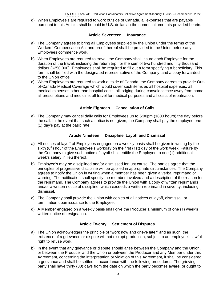q) When Employee's are required to work outside of Canada, all expenses that are payable pursuant to this Article, shall be paid in U.S. dollars in the numerical amounts provided herein.

## **Article Seventeen Insurance**

- a) The Company agrees to bring all Employees supplied by the Union under the terms of the Workers' Compensation Act and proof thereof shall be provided to the Union before any Employees commence work.
- b) When Employees are required to travel, the Company shall insure each Employee for the duration of the travel, including the return trip, for the sum of two hundred and fifty thousand dollars (\$250,000). Employees shall be required to fill out a form specifying a beneficiary. This form shall be filed with the designated representative of the Company, and a copy forwarded to the Union office.
- c) When Employees are required to work outside of Canada, the Company agrees to provide Outof-Canada Medical Coverage which would cover such items as all hospital expenses, all medical expenses other than hospital costs, all lodging during convalescence away from home, all prescriptions and medicine, all travel for medical purposes and all costs of repatriation.

## **Article Eighteen Cancellation of Calls**

a) The Company may cancel daily calls for Employees up to 6:00pm (1800 hours) the day before the call. In the event that such a notice is not given, the Company shall pay the employee one (1) day's pay at the basic rate.

## **Article Nineteen Discipline, Layoff and Dismissal**

- a) All notices of layoff of Employees engaged on a weekly basis shall be given in writing by the sixth  $(6<sup>th</sup>)$  hour of the Employee's workday on the first (1st) day of the work week. Failure by the Company to give such notice of layoff shall entitle the Employee to one (1) additional week's salary in lieu thereof.
- b) Employee's may be disciplined and/or dismissed for just cause. The parties agree that the principles of progressive discipline will be applied in appropriate circumstances. The Company agrees to notify the Union in writing when a member has been given a verbal reprimand or warning. The notification shall specify the member involved and a description of the reason for the reprimand. The Company agrees to provide the Union with a copy of written reprimands and/or a written notice of discipline, which exceeds a written reprimand in severity, including dismissal.
- c) The Company shall provide the Union with copies of all notices of layoff, dismissal, or termination upon issuance to the Employee.
- <span id="page-16-0"></span>d) A Member engaged on a weekly basis shall give the Producer a minimum of one (1) week's written notice of resignation.

## **Article Twenty Settlement of Disputes**

- a) The Union acknowledges the principle of "work now and grieve later" and as such, the existence of a grievance or dispute will not disrupt production, subject to an employee's lawful right to refuse work.
- b) In the event that any grievance or dispute should arise between the Company and the Union, or between the Producer and the Union or between the Producer and any Member under this Agreement, concerning the interpretation or violation of this Agreement, it shall be considered a grievance and shall be settled in accordance with the following procedures. The grieving party shall have thirty (30) days from the date on which the party becomes aware, or ought to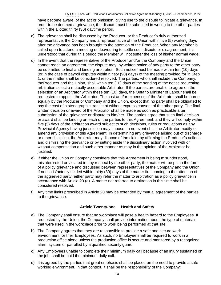have become aware, of the act or omission, giving rise to the dispute to initiate a grievance. In order to be deemed a grievance, the dispute must be submitted in writing to the other parties within the allotted thirty (30) daytime period.

- c) The grievance shall be discussed by the Producer, or the Producer's duly authorized representative, the Company and a representative of the Union within five (5) working days after the grievance has been brought to the attention of the Producer. When any Member is called upon to attend a meeting endeavouring to settle such dispute or disagreement, it is understood that during this period the Member will not suffer the loss of his/her normal wage.
- d) In the event that the representative of the Producer and/or the Company and the Union cannot reach an agreement, the dispute may, by written notice of any party to the other party, be submitted to final and binding arbitration. Such notice must be made within ten (10) days (or in the case of payroll disputes within ninety (90) days) of the meeting provided for in Step 1, or the matter shall be considered resolved. The parties, who shall include the Company, theProducer and the Union, shall within ten (10) days of the sending of the notice requesting arbitration select a mutually acceptable Arbitrator. If the parties are unable to agree on the selection of an Arbitrator within these ten (10) days, the Ontario Minister of Labour shall be requested to appoint the Arbitrator. The cost and/or expenses of the Arbitrator shall be borne equally by the Producer or Company and the Union, except that no party shall be obligated to pay the cost of a stenographic transcript without express consent of the other party. The final written decision or award of the Arbitrator shall be made as soon as practicable after submission of the grievance or dispute to him/her. The parties agree that such final decision or award shall be binding on each of the parties to this Agreement, and they will comply within five (5) days of the arbitration award subject to such decisions, rules or regulations as any Provincial Agency having jurisdiction may impose. In no event shall the Arbitrator modify or amend any provision of this Agreement. In determining any grievance arising out of discharge or other discipline, the Arbitrator may dispose of the claim by affirming the Producer's actions and dismissing the grievance or by setting aside the disciplinary action involved with or without compensation and such other manner as may in the opinion of the Arbitrator be justified.
- e) If either the Union or Company considers that this Agreement is being misunderstood, misinterpreted or violated in any respect by the other party, the matter will be put in the form of a policy grievance and discussed between representatives of the Company and the Union. If not satisfactorily settled within thirty (30) days of the matter first coming to the attention of the aggrieved party, either party may refer the matter to arbitration as a policy grievance in accordance with Article 20 (d). A matter not referred to arbitration in this time shall be considered resolved.
- f) Any time limits prescribed in Article 20 may be extended by mutual agreement of the parties to the grievance.

## **Article Twenty-one Health and Safety**

- a) The Company shall ensure that no workplace will pose a health hazard to the Employees. If requested by the Union, the Company shall provide information about the type of materials that were used in the workplace prior to work being performed at that site.
- b) The Company agrees that they are responsible to provide a safe and secure work environment for their Employees. As such, no Employee shall be required to work in a production office alone unless the production office is secure and monitored by a recognized alarm system or patrolled by a qualified security guard.
- c) Any Employees unable to complete their minimum daily call because of an injury sustained on the job, shall be paid the minimum daily call.
- d) It is agreed by the parties that great emphasis shall be placed on the need to provide a safe working environment. In that context, it shall be the responsibility of the Company: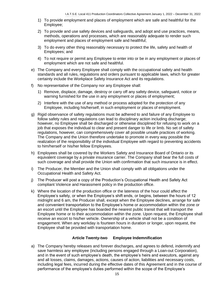- 1) To provide employment and places of employment which are safe and healthful for the Employee;
- 2) To provide and use safety devices and safeguards, and adopt and use practices, means, methods, operations and processes, which are reasonably adequate to render such employment and places of employment safe and healthful;
- 3) To do every other thing reasonably necessary to protect the life, safety and health of Employees; and
- 4) To not require or permit any Employee to enter into or be in any employment or places of employment which are not safe and healthful.
- e) The Company and every Employee shall comply with the occupational safety and health standards and all rules, regulations and orders pursuant to applicable laws, which for greater certainty include the Workplace Safety Insurance Act and its regulations.
- f) No representative of the Company nor any Employee shall:
	- 1) Remove, displace, damage, destroy or carry off any safety device, safeguard, notice or warning furnished for the use in any employment or places of employment;
	- 2) Interfere with the use of any method or process adopted for the protection of any Employee, including his/herself, in such employment or places of employment.
- g) Rigid observance of safety regulations must be adhered to and failure of any Employee to follow safety rules and regulations can lead to disciplinary action including discharge; however, no Employee shall be discharged or otherwise disciplined for refusing to work on a job that exposes the individual to clear and present danger to life or limb. No set of safety regulations, however, can comprehensively cover all possible unsafe practices of working. The Company and the Union therefore undertake to promote in every way possible the realization of the responsibility of the individual Employee with regard to preventing accidents to him/herself or his/her fellow Employees.
- h) Employees shall be covered by the Workers Safety and Insurance Board of Ontario or its equivalent coverage by a private insurance carrier. The Company shall bear the full costs of such coverage and shall provide the Union with confirmation that such insurance is in effect.
- i) The Producer, the Member and the Union shall comply with all obligations under the Occupational Health and Safety Act.
- j) The Producer will post a copy of the Production's Occupational Health and Safety Act compliant Violence and Harassment policy in the production office.
- k) Where the location of the production office or the lateness of the hour could affect the Employee's safety, or when the Employee's shift ends, or begins, between the hours of 12 midnight and 6 am, the Producer shall, except when the Employee declines, arrange for safe and convenient transportation to the Employee's home or accommodation within the zone or an escort until the Employee has boarded the nearest public transit that will transport the Employee home or to their accommodation within the zone. Upon request, the Employee shall receive an escort to his/her vehicle. Ownership of a vehicle shall not be a condition of engagement. When any workday is fourteen hours in duration or longer, upon request, the Employee shall be provided with transportation home.

## **Article Twenty-two Employee Indemnification**

a) The Company hereby releases and forever discharges, and agrees to defend, indemnify and save harmless any employee (including persons engaged through a Loan-out Corporation), and in the event of such employee's death, the employee's heirs and executors, against any and all losses, claims, damages, actions, causes of action, liabilities and necessary costs, including legal fees, incurred during the effective dates of this Agreement and in the course of performance of the employee's duties performed within the scope of the Employee's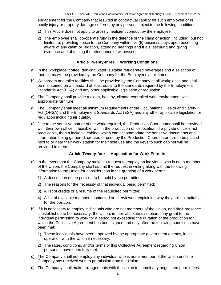engagement for the Company that resulted in contractual liability for such employee or in bodily injury or property damage suffered by any person subject to the following conditions:

- 1) This Article does not apply to grossly negligent conduct by the employee.
- 2) The employee shall co-operate fully in the defence of the claim or action, including, but not limited to, providing notice to the Company within five (5) business days upon becoming aware of any claim or litigation, attending hearings and trials, securing and giving evidence and obtaining the attendance of witnesses.

## **Article Twenty-three Working Conditions**

- a) In the workplace, coffee, drinking water, suitable refrigerated beverages and a selection of food items will be provided by the Company for the Employees at all times.
- b) Washroom and toilet facilities shall be provided by the Company at all workplaces and shall be maintained on a standard at least equal to the standards required by the Employment Standards Act (ESA) and any other applicable legislation or regulation.
- c) The Company shall provide a clean, healthy, climate-controlled work environment with appropriate furniture.
- d) The Company shall meet all minimum requirements of the Occupational Health and Safety Act (OHSA) and the Employment Standards Act (ESA) and any other applicable legislation or regulation including air quality.
- e) Due to the sensitive nature of the work required, the Production Coordinator shall be provided with their own office, if feasible, within the production office location. If a private office is not practicable, then a lockable cabinet which can accommodate the sensitive documents and information being gathered, created or used by the Production Coordinator, are to be placed next to or near their work station for their sole use and the keys to such cabinet will be provided to them.

## **Article Twenty-four Application for Work Permits**

- a) In the event that the Company makes a request to employ an individual who is not a member of the Union, the Company shall submit the request in writing along with the following information to the Union for consideration in the granting of a work permit:
	- 1) A description of the position to be held by the permittee;
	- 2) The reasons for the necessity of that individual being permitted;
	- 3) A list of credits or a resume of the requested permittee;
	- 4) A list of available members contacted or interviewed, explaining why they are not suitable for the position.
- b) If it is necessary to employ individuals who are not members of the Union, and their presence is established to be necessary, the Union, in their absolute discretion, may grant to the individual permission to work for a period not exceeding the duration of the production for which the Collective Agreement has been signed and only after the following conditions have been met:
	- 1) These individuals have been approved by the appropriate government agency, in cooperation with the Union if necessary;
	- 2) The rates, conditions, and/or terms of this Collective Agreement regarding Union personnel have been fully met.
- c) The Company shall not employ any individual who is not a member of the Union until the Company has received written permission from the Union.
- d) The Company shall make arrangements with the Union to submit any negotiated permit fees.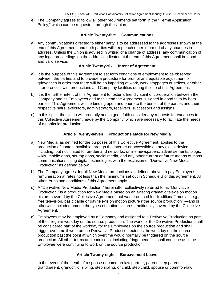e) The Company agrees to follow all other requirements set forth in the "Permit Application Policy," which can be requested through the Union.

## **Article Twenty-five Communications**

a) Any communications directed to either party is to be addressed to the addresses shown at the end of this Agreement, and both parties will keep each other informed of any changes in address. Unless the Union is advised in writing of a change of address, any communication of any legal proceedings on the address indicated at the end of this Agreement shall be good and valid service.

## **Article Twenty-six Intent of Agreement**

- a) It is the purpose of this Agreement to set forth conditions of employment to be observed between the parties and to provide a procedure for prompt and equitable adjustment of grievances in order that there will be no impeding of work, work stoppages or strikes, or other interference's with productions and Company facilities during the life of this Agreement.
- b) It is the further intent of this Agreement to foster a friendly spirit of co-operation between the Company and its Employees and to this end the Agreement is signed in good faith by both parties. This Agreement will be binding upon and enure to the benefit of the parties and their respective heirs, executors, administrators, receivers, successors and assigns.
- c) In this spirit, the Union will promptly and in good faith consider any requests for variances to this Collective Agreement made by the Company, which are necessary to facilitate the needs of a particular production.

## **Article Twenty-seven Productions Made for New Media**

- a) New Media, as defined for the purposes of this Collective Agreement, applies to the production of content available through the internet or accessible on any digital device, including, but not limited to, on-demand networks, online newspapers, advertisements, blogs, wikis, mobile apps, set-top apps, social media, and any other current or future means of mass communications using digital technologies with the exclusion of "Derivative New Media Production" as defined below.
- b) The Company agrees, for all New Media productions as defined above, to pay Employees remuneration at rates not less than the minimums set out in Schedule B of this agreement. All other terms and conditions of this Agreement apply.
- c) A "Derivative New Media Production," hereinafter collectively referred to as "Derivative Production," is a production for New Media based on an existing dramatic television motion picture covered by the Collective Agreement that was produced for "traditional" media—e.g., a free television, basic cable or pay television motion picture ("the source production")—and is otherwise included among the types of motion pictures traditionally covered by the Collective Agreement.
- d) Employees may be employed by a Company and assigned to a Derivative Production as part of their regular workday on the source production. The work for the Derivative Production shall be considered part of the workday for the Employees on the source production and shall trigger overtime if work on the Derivative Production extends the workday on the source production past the point at which overtime would normally be triggered on the source production. All other terms and conditions, including fringe benefits, shall continue as if the Employee were continuing to work on the source production.

## **Article Twenty-eight Bereavement Leave**

In the event of the death of a spouse or common-law partner, parent, step parent, grandparent, grandchild, sibling, step sibling, or child, step child, spouse or common-law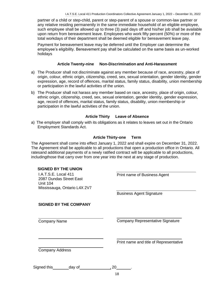partner of a child or step-child, parent or step-parent of a spouse or common-law partner or any relative residing permanently in the same immediate household of an eligible employee, such employee shall be allowed up to three (3) paid days off and his/her job shall be available upon return from bereavement leave. Employees who work fifty percent (50%) or more of the total workdays of their department shall be deemed eligible for bereavement leave pay.

Payment for bereavement leave may be deferred until the Employer can determine the employee's eligibility. Bereavement pay shall be calculated on the same basis as un-worked holidays

#### **Article Twenty-nine Non-Discrimination and Anti-Harassment**

- a) The Producer shall not discriminate against any member because of race, ancestry, place of origin, colour, ethnic origin, citizenship, creed, sex, sexual orientation, gender identity, gender expression, age, record of offences, marital status, family status, disability, union membership or participation in the lawful activities of the union.
- b) The Producer shall not harass any member based on race, ancestry, place of origin, colour, ethnic origin, citizenship, creed, sex, sexual orientation, gender identity, gender expression, age, record of offences, marital status, family status, disability, union membership or participation in the lawful activities of the union.

## **Article Thirty Leave of Absence**

a) The employer shall comply with its obligations as it relates to leaves set out in the Ontario Employment Standards Act.

## **Article Thirty-one Term**

The Agreement shall come into effect January 1, 2022 and shall expire on December 31, 2022. The Agreement shall be applicable to all productions that open a production office in Ontario. All ratesand additional payments of a newly ratified contract will be applicable to all productions, includingthose that carry over from one year into the next at any stage of production.

## **SIGNED BY THE UNION**

I.A.T.S.E. Local 411 2087 Dundas Street East Unit 104 Mississauga, Ontario L4X 2V7

Print name of Business Agent

Business Agent Signature

## **SIGNED BY THE COMPANY**

Company Name Company Representative Signature

Print name and title of Representative

Company Address

Signed this day of the same of the same of  $\sim$  20  $\sim$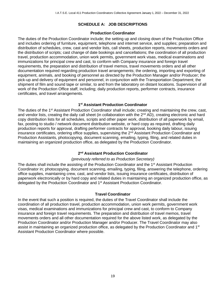## **SCHEDULE A: JOB DESCRIPTIONS**

## **Production Coordinator**

The duties of the Production Coordinator include; the setting up and closing down of the Production Office and includes ordering of furniture, equipment, telephone and internet service, and supplies; preparation and distribution of schedules, crew, cast and vendor lists, call sheets, production reports, movements orders and the distribution of scripts; cast change of date bookings and cancellations; the coordination of all production travel, production accommodation, union work permits, government work visas, medical examinations and immunizations for principal crew and cast, to conform with Company insurance and foreign travel requirements, the preparation and distribution of travel memos, travel movements orders and all other documentation required regarding production travel arrangements; the ordering, importing and exporting of equipment, animals, and booking of personnel as directed by the Production Manager and/or Producer; the pick-up and delivery of equipment and personnel, in conjunction with the Transportation Department; the shipment of film and sound tape or similar, to and from the laboratory on distant locations. Supervision of all work of the Production Office staff, including; daily production reports, performer contracts, insurance certificates, and travel arrangements.

## **1 st Assistant Production Coordinator**

The duties of the 1<sup>st</sup> Assistant Production Coordinator shall include; creating and maintaining the crew, cast, and vendor lists, creating the daily call sheet (in collaboration with the 2<sup>nd</sup> AD), creating electronic and hard copy distribution lists for all schedules, scripts and other paper work, distribution of all paperwork by email, fax, posting to studio / network document distribution website, or hard copy as required, drafting daily production reports for approval, drafting performer contracts for approval, booking daily labour, issuing insurance certificates, ordering office supplies, supervising the 2<sup>nd</sup> Assistant Production Coordinator and Production Assistants, photocopying, document scanning, emailing, typing, filing, and related duties in maintaining an organized production office, as delegated by the Production Coordinator.

## **2 nd Assistant Production Coordinator**

## *(previously referred to as Production Secretary)*

The duties shall include the assisting of the Production Coordinator and the 1<sup>st</sup> Assistant Production Coordinator in; photocopying, document scanning, emailing, typing, filing, answering the telephone, ordering office supplies, maintaining crew, cast, and vendor lists, issuing insurance certificates, distribution of paperwork electronically or by hard copy and related duties in maintaining an organized production office, as delegated by the Production Coordinator and 1<sup>st</sup> Assistant Production Coordinator.

## **Travel Coordinator**

In the event that such a position is required, the duties of the Travel Coordinator shall include the coordination of all production travel, production accommodation, union work permits, government work visas, medical examinations and immunizations for principal crew and cast, to conform to Company insurance and foreign travel requirements. The preparation and distribution of travel memos, travel movements orders and all other documentation required for the above listed work, as delegated by the Production Coordinator and/or Production Manager and/or Producer. The Travel Coordinator may also assist in maintaining an organized production office, as delegated by the Production Coordinator and 1<sup>st</sup> Assistant Production Coordinator where possible.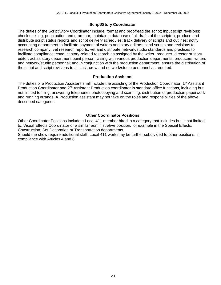## **Script/Story Coordinator**

The duties of the Script/Story Coordinator include: format and proofread the script; input script revisions; check spelling, punctuation and grammar; maintain a database of all drafts of the script(s); produce and distribute script status reports and script delivery schedules; track delivery of scripts and outlines; notify accounting department to facilitate payment of writers and story editors; send scripts and revisions to research company; vet research reports; vet and distribute network/studio standards and practices to facilitate compliance; conduct story-related research as assigned by the writer, producer, director or story editor; act as story department point person liaising with various production departments, producers, writers and network/studio personnel; and in conjunction with the production department, ensure the distribution of the script and script revisions to all cast, crew and network/studio personnel as required.

## **Production Assistant**

The duties of a Production Assistant shall include the assisting of the Production Coordinator, 1<sup>st</sup> Assistant Production Coordinator and 2<sup>nd</sup> Assistant Production coordinator in standard office functions, including but not limited to filing, answering telephones photocopying and scanning, distribution of production paperwork and running errands. A Production assistant may not take on the roles and responsibilities of the above described categories.

## **Other Coordinator Positions**

Other Coordinator Positions include a Local 411 member hired in a category that includes but is not limited to, Visual Effects Coordinator or a similar administrative position, for example in the Special Effects, Construction, Set Decoration or Transportation departments.

Should the show require additional staff, Local 411 work may be further subdivided to other positions, in compliance with Articles 4 and 6.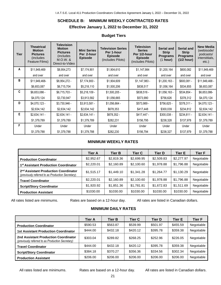## **SCHEDULE B: MINIMUM WEEKLY CONTRACTED RATES**

**Effective January 1, 2022 to December 31, 2022**

#### **Budget Tiers**

| <b>Tier</b> | <b>Theatrical</b><br><b>Motion</b><br><b>Pictures</b><br><i>(includes)</i><br>Feature Films) | <b>Television</b><br><b>Motion</b><br><b>Pictures</b><br><i>(includes)</i><br>M.O.W. &<br>Direct-to-Video | <b>Mini Series</b><br>Per 2-hour<br><b>Episode</b> | <b>Television Series</b><br>Per 1-hour<br><b>Episode</b><br>(includes Pilots) | <b>Television</b><br><b>Series</b><br>Per 1/2-hour<br><b>Episode</b><br>(includes Pilots) | <b>Serial and</b><br><b>Strip</b><br><b>Programs</b><br>(1 hour) | <b>Serial and</b><br><b>Strip</b><br><b>Programs</b><br>(1/2 hour) | <b>New Media</b><br>(webisode/<br>podcasts/<br>interstitials.<br>$etc.$ ) |
|-------------|----------------------------------------------------------------------------------------------|-----------------------------------------------------------------------------------------------------------|----------------------------------------------------|-------------------------------------------------------------------------------|-------------------------------------------------------------------------------------------|------------------------------------------------------------------|--------------------------------------------------------------------|---------------------------------------------------------------------------|
| A           | \$11,949,469                                                                                 | \$8,954,273                                                                                               | \$7,174,901                                        | \$1,904,610                                                                   | \$1,147,984                                                                               | \$1,200,164                                                      | \$600,082                                                          | \$11,949,469                                                              |
|             | and over                                                                                     | and over                                                                                                  | and over                                           | and over                                                                      | and over                                                                                  | and over                                                         | and over                                                           | and over                                                                  |
| в           | \$11,949,468-                                                                                | \$8,954,272 -                                                                                             | \$7,174,900 -                                      | \$1,904,609                                                                   | $$1,147,983 -$                                                                            | $$1,200,163 -$                                                   | $$600,081 -$                                                       | $$11,949,468 -$                                                           |
|             | \$6,653,087                                                                                  | \$6,715,704                                                                                               | \$5,218,110                                        | \$1,500,206                                                                   | \$838,517                                                                                 | \$1,056,164                                                      | \$534,855                                                          | \$6,653,087                                                               |
| C           | \$6,653,086 -                                                                                | $$6,715,703-$                                                                                             | $$5,218,109-$                                      | $$1,500,205$ -                                                                | \$838,516 -                                                                               | $$1,056,163 -$                                                   | \$534,854 -                                                        | \$6,653,086-                                                              |
|             | \$4,070,124                                                                                  | \$3,730,947                                                                                               | \$3,913,582                                        | \$1,056,665                                                                   | \$573,990                                                                                 | \$756,626                                                        | \$378,312                                                          | \$4,070,124                                                               |
| D           | $$4,070,123-$                                                                                | \$3,730,946 -                                                                                             | $$3,913,581 -$                                     | $$1,056,664 -$                                                                | \$573,989 -                                                                               | $$756,625 -$                                                     | $$378,311 -$                                                       | $$4,070,123-$                                                             |
|             | \$2,634,142                                                                                  | \$2,634,142                                                                                               | \$2,634,142                                        | \$678,353                                                                     | \$417,448                                                                                 | \$300,039                                                        | \$234,812                                                          | \$2,634,142                                                               |
| E           | $$2,634,141-$                                                                                | $$2,634,141-$                                                                                             | $$2,634,141-$                                      | \$678,352 -                                                                   | $$417,447-$                                                                               | \$300,038 -                                                      | $$234,811 -$                                                       | $$2,634,141-$                                                             |
|             | \$1,379,789                                                                                  | \$1,379,789                                                                                               | \$1,379,789                                        | \$282,231                                                                     | \$156,795                                                                                 | \$238,328                                                        | \$137,978                                                          | \$1,379,789                                                               |
| F           | Under                                                                                        | Under                                                                                                     | Under                                              | Under                                                                         | Under                                                                                     | Under                                                            | Under                                                              | Under                                                                     |
|             | \$1,379,788                                                                                  | \$1,379,788                                                                                               | \$1,379,788                                        | \$282,230                                                                     | \$156,794                                                                                 | \$238,327                                                        | \$137,979                                                          | \$1,379,788                                                               |

## **MINIMUM WEEKLY RATES**

|                                                                                                      | <b>Tier A</b> | <b>Tier B</b> | <b>Tier C</b> | <b>Tier D</b> | <b>Tier E</b> | <b>Tier F</b> |
|------------------------------------------------------------------------------------------------------|---------------|---------------|---------------|---------------|---------------|---------------|
| <b>Production Coordinator</b>                                                                        | \$2,952.67    | \$2,819.36    | \$2,699.95    | \$2,509.83    | \$2,277.97    | Negotiable    |
| 1 <sup>st</sup> Assistant Production Coordinator                                                     | \$2,220.01    | \$2,160.89    | \$2,100.60    | \$1,978.88    | \$1,796.88    | Negotiable    |
| 2 <sup>nd</sup> Assistant Production Coordinator<br>(previously referred to as Production Secretary) | \$1,515.17    | \$1,449.10    | \$1,341.28    | \$1,264.77    | \$1,130.29    | Negotiable    |
| <b>Travel Coordinator</b>                                                                            | \$2,220.01    | \$2,160.89    | \$2,100.60    | \$1,978.88    | \$1,796.88    | Negotiable    |
| <b>Script/Story Coordinator</b>                                                                      | \$1,920.92    | \$1,851.36    | \$1,781.81    | \$1,672.83    | \$1,511.69    | Negotiable    |
| <b>Production Assistant</b>                                                                          | \$1030.00     | \$1030.00     | \$1030.00     | \$1030.00     | \$1030.00     | Negotiable    |

All rates listed are minimums. Rates are based on a 12-hour day. All rates are listed in Canadian dollars.

## **MINIMUM DAILY RATES**

|                                                                                          | Tier A   | <b>Tier B</b> | <b>Tier C</b> | <b>Tier D</b> | <b>Tier E</b> | <b>Tier F</b> |
|------------------------------------------------------------------------------------------|----------|---------------|---------------|---------------|---------------|---------------|
| <b>Production Coordinator</b>                                                            | \$590.53 | \$563.87      | \$539.99      | \$501.97      | \$455.59      | Negotiable    |
| <b>1st Assistant Production Coordinator</b>                                              | \$444.00 | \$432.18      | \$420.12      | \$395.78      | \$359.38      | Negotiable    |
| 2nd Assistant Production Coordinator<br>(previously referred to as Production Secretary) | \$303.04 | \$289.82      | \$268.25      | \$252.96      | \$226.05      | Negotiable    |
| <b>Travel Coordinator</b>                                                                | \$444.00 | \$432.18      | \$420.12      | \$395.78      | \$359.38      | Negotiable    |
| <b>Script/Story Coordinator</b>                                                          | \$384.18 | \$370.27      | \$356.36      | \$334.56      | \$302.34      | Negotiable    |
| <b>Production Assistant</b>                                                              | \$206.00 | \$206.00      | \$206.00      | \$206.00      | \$206.00      | Negotiable    |

All rates listed are minimums. Rates are based on a 12-hour day. All rates are listed in Canadian dollars.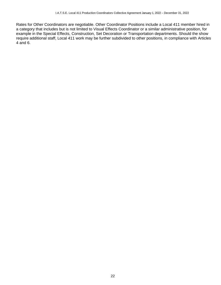Rates for Other Coordinators are negotiable. Other Coordinator Positions include a Local 411 member hired in a category that includes but is not limited to Visual Effects Coordinator or a similar administrative position, for example in the Special Effects, Construction, Set Decoration or Transportation departments. Should the show require additional staff, Local 411 work may be further subdivided to other positions, in compliance with Articles 4 and 6.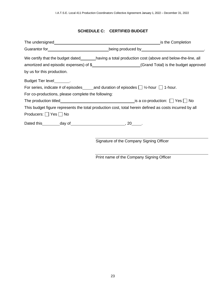## **SCHEDULE C: CERTIFIED BUDGET**

|                                                    | We certify that the budget dated________having a total production cost (above and below-the-line, all  |
|----------------------------------------------------|--------------------------------------------------------------------------------------------------------|
|                                                    | amortized and episodic expenses) of \$________________________(Grand Total) is the budget approved     |
| by us for this production.                         |                                                                                                        |
| Budget Tier level_________.                        |                                                                                                        |
|                                                    | For series, indicate # of episodes ______ and duration of episodes $\Box$ 1/2-hour $\Box$ 1-hour.      |
| For co-productions, please complete the following: |                                                                                                        |
|                                                    |                                                                                                        |
|                                                    | This budget figure represents the total production cost, total herein defined as costs incurred by all |
| Producers: $\Box$ Yes $\Box$ No                    |                                                                                                        |
|                                                    |                                                                                                        |

Signature of the Company Signing Officer

Print name of the Company Signing Officer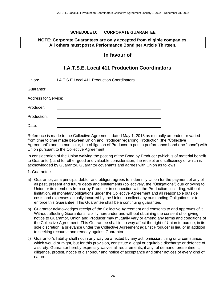## **SCHEDULE D: CORPORATE GUARANTEE**

## **NOTE: Corporate Guarantees are only accepted from eligible companies. All others must post a Performance Bond per Article Thirteen.**

## **In favour of**

## **I.A.T.S.E. Local 411 Production Coordinators**

| Union:                      | I.A.T.S.E Local 411 Production Coordinators |  |
|-----------------------------|---------------------------------------------|--|
| Guarantor:                  |                                             |  |
| <b>Address for Service:</b> |                                             |  |
| Producer:                   |                                             |  |
| Production:                 |                                             |  |
| Date:                       |                                             |  |

Reference is made to the Collective Agreement dated May 1, 2018 as mutually amended or varied from time to time made between Union and Producer regarding Production (the "Collective Agreement") and, in particular, the obligation of Producer to post a performance bond (the "bond") with Union pursuant to the Collective Agreement.

In consideration of the Union waiving the posting of the Bond by Producer (which is of material benefit to Guarantor), and for other good and valuable consideration, the receipt and sufficiency of which is acknowledged by Guarantor, Guarantor covenants and agrees with Union as follows:

- 1. Guarantee
- a) Guarantor, as a principal debtor and obligor, agrees to indemnify Union for the payment of any of all past, present and future debts and entitlements (collectively, the "Obligations") due or owing to Union or its members from or by Producer in connection with the Production, including, without limitation, all monetary obligations under the Collective Agreement and all reasonable outside costs and expenses actually incurred by the Union to collect any outstanding Obligations or to enforce this Guarantee. This Guarantee shall be a continuing guarantee.
- b) Guarantor acknowledges receipt of the Collective Agreement and consents to and approves of it. Without affecting Guarantor's liability hereunder and without obtaining the consent of or giving notice to Guarantor, Union and Producer may mutually vary or amend any terms and conditions of the Collective Agreement. This Guarantee shall in no way affect the right of Union to pursue, in its sole discretion, a grievance under the Collective Agreement against Producer in lieu or in addition to seeking recourse and remedy against Guarantor.
- c) Guarantor's liability shall not in any way be affected by any act, omission, thing or circumstance, which would or might, but for this provision, constitute a legal or equitable discharge or defence of a surety. Guarantor hereby expressly waives all requirements, if any, of demand, presentment, diligence, protest, notice of dishonour and notice of acceptance and other notices of every kind of nature.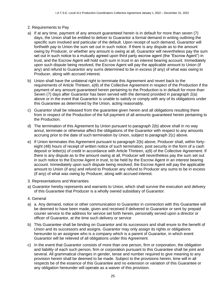## 2. Requirements to Pay

- a) If at any time, payment of any amount guaranteed herein is in default for more than seven (7) days, the Union shall be entitled to deliver to Guarantor a formal demand in writing outlining the specific sum involved and particular of the default. Upon receipt of such demand, Guarantor will forthwith pay to Union the sum set out in such notice. If there is any dispute as to the amount owing by Producer, or whether any amount is owing at all, Guarantor will nevertheless pay the sum set out in such notice to a mutually agreed upon third party escrow agent (the "Escrow Agent") in trust, and the Escrow Agent will hold such sum in trust in an interest bearing account. Immediately upon such dispute being resolved, the Escrow Agent will pay the applicable amount to Union (if any) and refund to Guarantor any sums determined to be in excess (if any) of what was owing to Producer, along with accrued interest.
- b) Union shall have the unilateral right to terminate this Agreement and revert back to the requirements of [Article Thirteen,](#page-11-1) [a\)9\) o](#page-12-0)f the Collective Agreement in respect of the Production if the payment of any amount guaranteed herein pertaining to the Production is in default for more than Seven (7) days after Guarantor has been served with the demand provided in paragraph 2(a) above or in the event that Guarantor is unable to satisfy or comply with any of its obligations under this Guarantee as determined by the Union, acting reasonably.
- c) Guarantor shall be released from the guarantee given herein and all obligations resulting there from in respect of the Production of the full payment of all amounts guaranteed herein pertaining to the Production.
- d) The termination of this Agreement by Union pursuant to paragraph 2(b) above shall in no way annul, terminate or otherwise affect the obligations of the Guarantor with respect to any amounts accruing prior to the date of such termination by Union, subject to paragraph 2(c) above.
- e) If Union terminates this Agreement pursuant to paragraph 2(b) above, Producer shall, within fortyeight (48) hours of receipt of written notice of such termination, post security in the form of a cash deposit or letter(s) of credit in accordance with [Article Thirteen,](#page-11-1) [a\)9\)](#page-12-0) of the Collective Agreement. If there is any dispute as to the amount owing at all, Producer will nevertheless pay the sum set out in such notice to the Escrow Agent in trust, to be held by the Escrow Agent in an interest bearing account. Immediately upon such dispute being resolved, the Escrow Agent will pay the applicable amount to Union (if any) and refund to Producer any refund to Producer any sums to be in excess (if any) of what was owing by Producer, along with accrued interest.
- 3. Representations and Warranties
- a) Guarantor hereby represents and warrants to Union, which shall survive the execution and delivery of this Guarantee that Producer is a wholly owned subsidiary of Guarantor.
- 4. General
- a) a. Any demand, notice or other communication to Guarantor in connection with this Guarantee will be deemed to have been made, given and received if delivered to Guarantor or sent by prepaid courier service to the address for service set forth herein, personally served upon a director or officer of Guarantor, at the time such delivery or service
- b) This Guarantee shall be binding on Guarantor and its successors and shall enure to the benefit of Union and its successors and assigns. Guarantor may only assign its rights or obligations hereunder to an assignee who is a company which is a parent of Guarantor, in which event Guarantor will be relieved of all obligations under this Agreement.
- c) In the event that Guarantor consists of more than one person, firm or corporation, the obligation and liability of each such person, firm or corporation pursuant to this Guarantee shall be joint and several. All grammatical changes in gender, tense and number required to give meaning to any provision herein shall be deemed to be made. Subject to the provisions herein, time will in all respects be of the essence of this Guarantee and no extension or variation of this Guarantee or any obligation hereunder will operate as a waiver of this provision.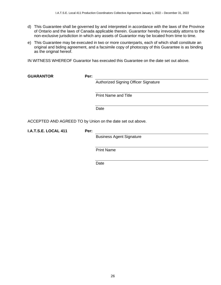- d) This Guarantee shall be governed by and interpreted in accordance with the laws of the Province of Ontario and the laws of Canada applicable therein. Guarantor hereby irrevocably attorns to the non-exclusive jurisdiction in which any assets of Guarantor may be located from time to time.
- e) This Guarantee may be executed in two or more counterparts, each of which shall constitute an original and biding agreement, and a facsimile copy of photocopy of this Guarantee is as binding as the original hereof.
- IN WITNESS WHEREOF Guarantor has executed this Guarantee on the date set out above.

| <b>GUARANTOR</b>            | Per: |                                                            |
|-----------------------------|------|------------------------------------------------------------|
|                             |      | Authorized Signing Officer Signature                       |
|                             |      |                                                            |
|                             |      | <b>Print Name and Title</b>                                |
|                             |      | Date                                                       |
|                             |      |                                                            |
|                             |      | ACCEPTED AND AGREED TO by Union on the date set out above. |
| <b>I.A.T.S.E. LOCAL 411</b> | Per: |                                                            |
|                             |      | <b>Business Agent Signature</b>                            |
|                             |      |                                                            |
|                             |      | <b>Print Name</b>                                          |
|                             |      |                                                            |
|                             |      | Date                                                       |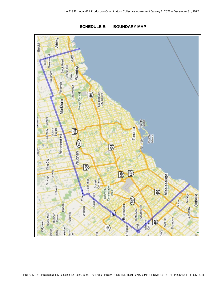

## **SCHEDULE E: BOUNDARY MAP**